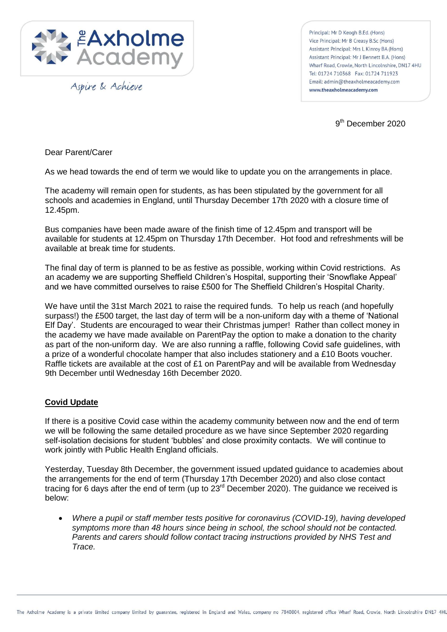

Aspire & Achieve

Principal: Mr D Keogh B.Ed. (Hons) Vice Principal: Mr B Creasy B.Sc (Hons) Assistant Principal: Mrs L Kinroy BA (Hons) Assistant Principal: Mr J Bennett B.A. (Hons) Wharf Road, Crowle, North Lincolnshire, DN17 4HU Tel: 01724 710368 Fax: 01724 711923 Email: admin@theaxholmeacademy.com www.theaxholmeacademy.com

9<sup>th</sup> December 2020

Dear Parent/Carer

As we head towards the end of term we would like to update you on the arrangements in place.

The academy will remain open for students, as has been stipulated by the government for all schools and academies in England, until Thursday December 17th 2020 with a closure time of 12.45pm.

Bus companies have been made aware of the finish time of 12.45pm and transport will be available for students at 12.45pm on Thursday 17th December. Hot food and refreshments will be available at break time for students.

The final day of term is planned to be as festive as possible, working within Covid restrictions. As an academy we are supporting Sheffield Children's Hospital, supporting their 'Snowflake Appeal' and we have committed ourselves to raise £500 for The Sheffield Children's Hospital Charity.

We have until the 31st March 2021 to raise the required funds. To help us reach (and hopefully surpass!) the £500 target, the last day of term will be a non-uniform day with a theme of 'National Elf Day'. Students are encouraged to wear their Christmas jumper! Rather than collect money in the academy we have made available on ParentPay the option to make a donation to the charity as part of the non-uniform day. We are also running a raffle, following Covid safe guidelines, with a prize of a wonderful chocolate hamper that also includes stationery and a £10 Boots voucher. Raffle tickets are available at the cost of £1 on ParentPay and will be available from Wednesday 9th December until Wednesday 16th December 2020.

## **Covid Update**

If there is a positive Covid case within the academy community between now and the end of term we will be following the same detailed procedure as we have since September 2020 regarding self-isolation decisions for student 'bubbles' and close proximity contacts. We will continue to work jointly with Public Health England officials.

Yesterday, Tuesday 8th December, the government issued updated guidance to academies about the arrangements for the end of term (Thursday 17th December 2020) and also close contact tracing for 6 days after the end of term (up to  $23<sup>rd</sup>$  December 2020). The guidance we received is below:

 *Where a pupil or staff member tests positive for coronavirus (COVID-19), having developed symptoms more than 48 hours since being in school, the school should not be contacted. Parents and carers should follow contact tracing instructions provided by NHS Test and Trace.*